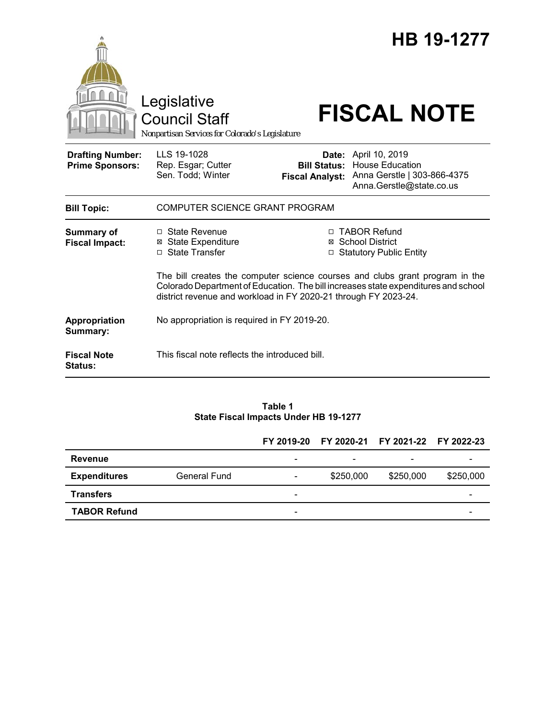|                                                   | Legislative<br><b>Council Staff</b><br>Nonpartisan Services for Colorado's Legislature                                                                                                                                                |                                               | HB 19-1277<br><b>FISCAL NOTE</b>                                                                          |  |  |  |  |
|---------------------------------------------------|---------------------------------------------------------------------------------------------------------------------------------------------------------------------------------------------------------------------------------------|-----------------------------------------------|-----------------------------------------------------------------------------------------------------------|--|--|--|--|
| <b>Drafting Number:</b><br><b>Prime Sponsors:</b> | LLS 19-1028<br>Rep. Esgar; Cutter<br>Sen. Todd; Winter                                                                                                                                                                                | <b>Bill Status:</b><br><b>Fiscal Analyst:</b> | Date: April 10, 2019<br><b>House Education</b><br>Anna Gerstle   303-866-4375<br>Anna.Gerstle@state.co.us |  |  |  |  |
| <b>Bill Topic:</b>                                | COMPUTER SCIENCE GRANT PROGRAM                                                                                                                                                                                                        |                                               |                                                                                                           |  |  |  |  |
| <b>Summary of</b><br><b>Fiscal Impact:</b>        | $\Box$ State Revenue<br><b>⊠ State Expenditure</b><br>□ State Transfer                                                                                                                                                                |                                               | □ TABOR Refund<br>⊠ School District<br>□ Statutory Public Entity                                          |  |  |  |  |
|                                                   | The bill creates the computer science courses and clubs grant program in the<br>Colorado Department of Education. The bill increases state expenditures and school<br>district revenue and workload in FY 2020-21 through FY 2023-24. |                                               |                                                                                                           |  |  |  |  |
| Appropriation<br>Summary:                         | No appropriation is required in FY 2019-20.                                                                                                                                                                                           |                                               |                                                                                                           |  |  |  |  |
| <b>Fiscal Note</b><br><b>Status:</b>              | This fiscal note reflects the introduced bill.                                                                                                                                                                                        |                                               |                                                                                                           |  |  |  |  |

### **Table 1 State Fiscal Impacts Under HB 19-1277**

|                     |                     |                              |                 | FY 2019-20 FY 2020-21 FY 2021-22 FY 2022-23 |           |
|---------------------|---------------------|------------------------------|-----------------|---------------------------------------------|-----------|
| Revenue             |                     | $\overline{\phantom{a}}$     | $\qquad \qquad$ | $\overline{\phantom{0}}$                    |           |
| <b>Expenditures</b> | <b>General Fund</b> | $\qquad \qquad \blacksquare$ | \$250,000       | \$250,000                                   | \$250,000 |
| <b>Transfers</b>    |                     | $\overline{\phantom{0}}$     |                 |                                             |           |
| <b>TABOR Refund</b> |                     | $\overline{\phantom{0}}$     |                 |                                             |           |